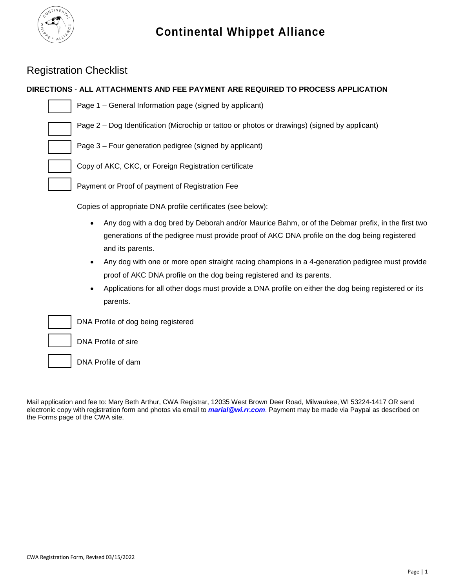

## Registration Checklist

### **DIRECTIONS** - **ALL ATTACHMENTS AND FEE PAYMENT ARE REQUIRED TO PROCESS APPLICATION**

Н

Page 1 – General Information page (signed by applicant)

Page 2 – Dog Identification (Microchip or tattoo or photos or drawings) (signed by applicant)

Page 3 – Four generation pedigree (signed by applicant)

Copy of AKC, CKC, or Foreign Registration certificate

Payment or Proof of payment of Registration Fee

Copies of appropriate DNA profile certificates (see below):

- Any dog with a dog bred by Deborah and/or Maurice Bahm, or of the Debmar prefix, in the first two generations of the pedigree must provide proof of AKC DNA profile on the dog being registered and its parents.
- Any dog with one or more open straight racing champions in a 4-generation pedigree must provide proof of AKC DNA profile on the dog being registered and its parents.
- Applications for all other dogs must provide a DNA profile on either the dog being registered or its parents.

DNA Profile of dog being registered

DNA Profile of sire

DNA Profile of dam

Mail application and fee to: Mary Beth Arthur, CWA Registrar, 12035 West Brown Deer Road, Milwaukee, WI 53224-1417 OR send electronic copy with registration form and photos via email to *marial@wi.rr.com*. Payment may be made via Paypal as described on the Forms page of the CWA site.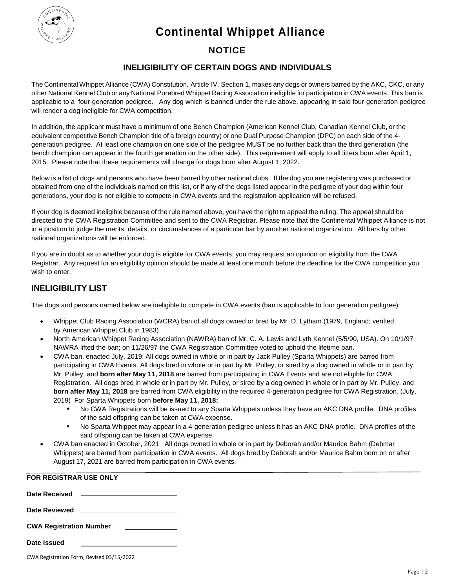**Continental Whippet Alliance**



### **NOTICE**

### **INELIGIBILITY OF CERTAIN DOGS AND INDIVIDUALS**

The Continental Whippet Alliance (CWA) Constitution, Article IV, Section 1, makes any dogs or owners barred by the AKC, CKC, or any other National Kennel Club or any National Purebred Whippet Racing Association ineligible for participation in CWA events. This ban is applicable to a four-generation pedigree. Any dog which is banned under the rule above, appearing in said four-generation pedigree will render a dog ineligible for CWA competition.

In addition, the applicant must have a minimum of one Bench Champion (American Kennel Club, Canadian Kennel Club, or the equivalent competitive Bench Champion title of a foreign country) or one Dual Purpose Champion (DPC) on each side of the 4 generation pedigree. At least one champion on one side of the pedigree MUST be no further back than the third generation (the bench champion can appear in the fourth generation on the other side). This requirement will apply to all litters born after April 1, 2015. Please note that these requirements will change for dogs born after August 1, 2022.

Below is a list of dogs and persons who have been barred by other national clubs. If the dog you are registering was purchased or obtained from one of the individuals named on this list, or if any of the dogs listed appear in the pedigree of your dog within four generations, your dog is not eligible to compete in CWA events and the registration application will be refused.

If your dog is deemed ineligible because of the rule named above, you have the right to appeal the ruling. The appeal should be directed to the CWA Registration Committee and sent to the CWA Registrar. Please note that the Continental Whippet Alliance is not in a position to judge the merits, details, or circumstances of a particular bar by another national organization. All bars by other national organizations will be enforced.

If you are in doubt as to whether your dog is eligible for CWA events, you may request an opinion on eligibility from the CWA Registrar. Any request for an eligibility opinion should be made at least one month before the deadline for the CWA competition you wish to enter.

### **INELIGIBILITY LIST**

The dogs and persons named below are ineligible to compete in CWA events (ban is applicable to four generation pedigree):

- Whippet Club Racing Association (WCRA) ban of all dogs owned or bred by Mr. D. Lytham (1979, England; verified by American Whippet Club in 1983)
- North American Whippet Racing Association (NAWRA) ban of Mr. C. A. Lewis and Lyth Kennel (5/5/90, USA). On 10/1/97 NAWRA lifted the ban; on 11/26/97 the CWA Registration Committee voted to uphold the lifetime ban.
- CWA ban, enacted July, 2019: All dogs owned in whole or in part by Jack Pulley (Sparta Whippets) are barred from participating in CWA Events. All dogs bred in whole or in part by Mr. Pulley, or sired by a dog owned in whole or in part by Mr. Pulley, and **born after May 11, 2018** are barred from participating in CWA Events and are not eligible for CWA Registration. All dogs bred in whole or in part by Mr. Pulley, or sired by a dog owned in whole or in part by Mr. Pulley, and **born after May 11, 2018** are barred from CWA eligibility in the required 4-generation pedigree for CWA Registration. (July, 2019) For Sparta Whippets born **before May 11, 2018:**
	- **•** No CWA Registrations will be issued to any Sparta Whippets unless they have an AKC DNA profile. DNA profiles of the said offspring can be taken at CWA expense.
	- **•** No Sparta Whippet may appear in a 4-generation pedigree unless it has an AKC DNA profile. DNA profiles of the said offspring can be taken at CWA expense.
- CWA ban enacted in October, 2021: All dogs owned in whole or in part by Deborah and/or Maurice Bahm (Debmar Whippets) are barred from participation in CWA events. All dogs bred by Deborah and/or Maurice Bahm born on or after August 17, 2021 are barred from participation in CWA events.

| <b>FOR REGISTRAR USE ONLY</b>                                                                                  |  |  |  |  |  |
|----------------------------------------------------------------------------------------------------------------|--|--|--|--|--|
| <b>Date Received</b><br><u> 1980 - John Stein, Amerikaansk politiker (</u>                                     |  |  |  |  |  |
| Date Reviewed 2008 and 2008 and 2008 and 2008 and 2008 and 2008 and 2008 and 2008 and 2008 and 2008 and 2008 a |  |  |  |  |  |
| <b>CWA Registration Number</b><br>the company of the company of the company of                                 |  |  |  |  |  |
| Date Issued                                                                                                    |  |  |  |  |  |

CWA Registration Form, Revised 03/15/2022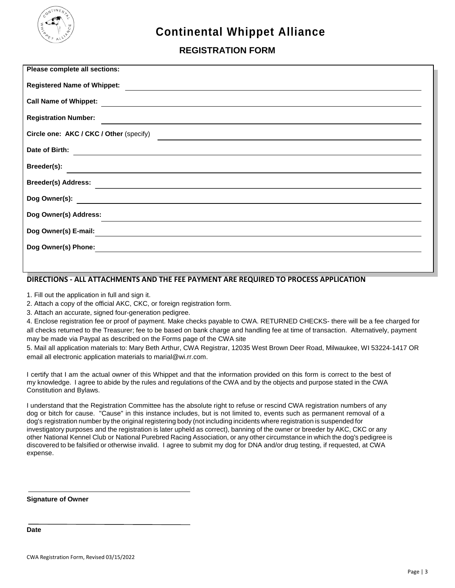

# **Continental Whippet Alliance**

## **REGISTRATION FORM**

| Please complete all sections:                                                                                                                                   |
|-----------------------------------------------------------------------------------------------------------------------------------------------------------------|
| <b>Registered Name of Whippet:</b><br><u> 1989 - Johann Stoff, deutscher Stoff, der Stoff, der Stoff, der Stoff, der Stoff, der Stoff, der Stoff, der S</u>     |
| <b>Call Name of Whippet:</b><br><u> 1989 - Andrea Santa Andrea Andrea Andrea Andrea Andrea Andrea Andrea Andrea Andrea Andrea Andrea Andrea Andr</u>            |
| <b>Registration Number:</b>                                                                                                                                     |
| Circle one: AKC / CKC / Other (specify)<br><u> 1989 - Johann Barn, amerikan bestemanns og forskellige og det forskellige og det forskellige og det forskell</u> |
| Date of Birth:<br><u> 1989 - Jan Samuel Barbara, margaret e a seu a component de la propia de la propia de la propia de la propia d</u>                         |
| Breeder(s):<br><u> 1989 - Johann Barn, fransk politik (d. 1989)</u>                                                                                             |
|                                                                                                                                                                 |
|                                                                                                                                                                 |
| Dog Owner(s) Address:<br>,我们也不会有什么。""我们的人,我们也不会有什么?""我们的人,我们也不会有什么?""我们的人,我们也不会有什么?""我们的人,我们也不会有什么?""我们的人                                                       |
| Dog Owner(s) E-mail:                                                                                                                                            |
| Dog Owner(s) Phone:<br><u> 1989 - John Stein, Amerikaansk politiker († 1908)</u>                                                                                |
|                                                                                                                                                                 |

#### **DIRECTIONS - ALL ATTACHMENTS AND THE FEE PAYMENT ARE REQUIRED TO PROCESS APPLICATION**

1. Fill out the application in full and sign it.

2. Attach a copy of the official AKC, CKC, or foreign registration form.

3. Attach an accurate, signed four-generation pedigree.

4. Enclose registration fee or proof of payment. Make checks payable to CWA. RETURNED CHECKS- there will be a fee charged for all checks returned to the Treasurer; fee to be based on bank charge and handling fee at time of transaction. Alternatively, payment may be made via Paypal as described on the Forms page of the CWA site

5. Mail all application materials to: Mary Beth Arthur, CWA Registrar, 12035 West Brown Deer Road, Milwaukee, WI 53224-1417 OR email all electronic application materials to marial@wi.rr.com.

I certify that I am the actual owner of this Whippet and that the information provided on this form is correct to the best of my knowledge. I agree to abide by the rules and regulations of the CWA and by the objects and purpose stated in the CWA Constitution and Bylaws.

I understand that the Registration Committee has the absolute right to refuse or rescind CWA registration numbers of any dog or bitch for cause. "Cause" in this instance includes, but is not limited to, events such as permanent removal of a dog's registration number by the original registering body (not including incidents where registration is suspended for investigatory purposes and the registration is later upheld as correct), banning of the owner or breeder by AKC, CKC or any other National Kennel Club or National Purebred Racing Association, or any other circumstance in which the dog's pedigree is discovered to be falsified or otherwise invalid. I agree to submit my dog for DNA and/or drug testing, if requested, at CWA expense.

**Signature of Owner**

**Date**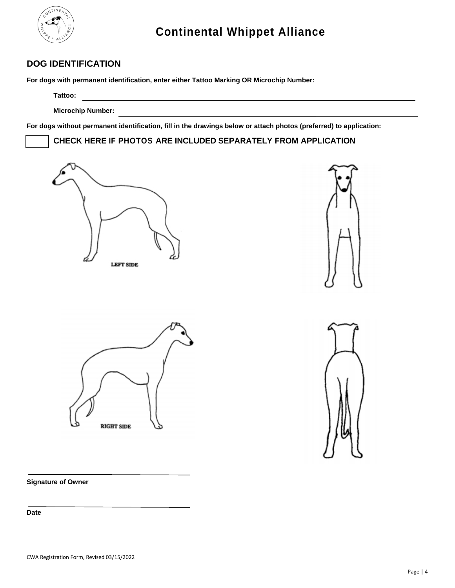

### **DOG IDENTIFICATION**

**For dogs with permanent identification, enter either Tattoo Marking OR Microchip Number:**

**Tattoo:**

**Microchip Number:**

**For dogs without permanent identification, fill in the drawings below or attach photos (preferred) to application:**

**CHECK HERE IF PHOTOS ARE INCLUDED SEPARATELY FROM APPLICATION**









**Signature of Owner**

**Date**